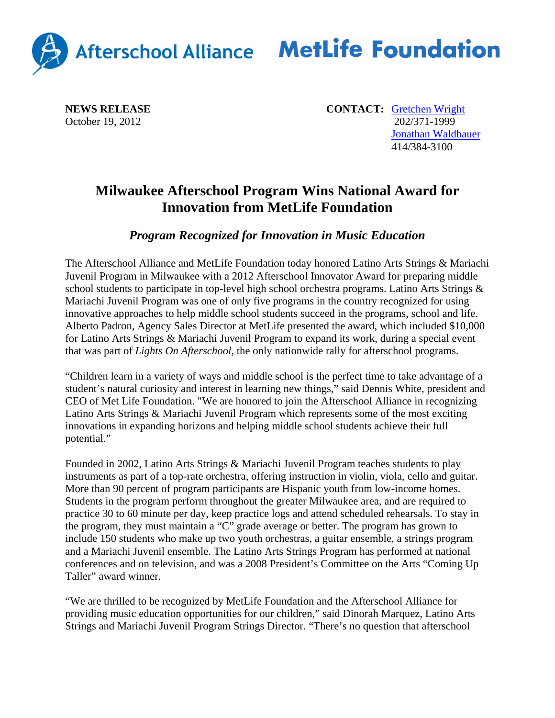

## Afterschool Alliance MetLife Foundation

October 19, 2012

**NEWS RELEASE CONTACT: Gretchen Wright CONTACT: CONTACT: Gretchen Wright CONTACT: CONTACT: CONTACT: CONTACT: CONTACT: CONTACT: CONTACT: CONTACT: CONTACT: CONTACT: CONTACT: CONTACT: CONTA**  Jonathan Waldbauer 414/384-3100

## **Milwaukee Afterschool Program Wins National Award for Innovation from MetLife Foundation**

*Program Recognized for Innovation in Music Education* 

The Afterschool Alliance and MetLife Foundation today honored Latino Arts Strings & Mariachi Juvenil Program in Milwaukee with a 2012 Afterschool Innovator Award for preparing middle school students to participate in top-level high school orchestra programs. Latino Arts Strings & Mariachi Juvenil Program was one of only five programs in the country recognized for using innovative approaches to help middle school students succeed in the programs, school and life. Alberto Padron, Agency Sales Director at MetLife presented the award, which included \$10,000 for Latino Arts Strings & Mariachi Juvenil Program to expand its work, during a special event that was part of *Lights On Afterschool*, the only nationwide rally for afterschool programs.

"Children learn in a variety of ways and middle school is the perfect time to take advantage of a student's natural curiosity and interest in learning new things," said Dennis White, president and CEO of Met Life Foundation. "We are honored to join the Afterschool Alliance in recognizing Latino Arts Strings & Mariachi Juvenil Program which represents some of the most exciting innovations in expanding horizons and helping middle school students achieve their full potential."

Founded in 2002, Latino Arts Strings & Mariachi Juvenil Program teaches students to play instruments as part of a top-rate orchestra, offering instruction in violin, viola, cello and guitar. More than 90 percent of program participants are Hispanic youth from low-income homes. Students in the program perform throughout the greater Milwaukee area, and are required to practice 30 to 60 minute per day, keep practice logs and attend scheduled rehearsals. To stay in the program, they must maintain a "C" grade average or better. The program has grown to include 150 students who make up two youth orchestras, a guitar ensemble, a strings program and a Mariachi Juvenil ensemble. The Latino Arts Strings Program has performed at national conferences and on television, and was a 2008 President's Committee on the Arts "Coming Up Taller" award winner.

"We are thrilled to be recognized by MetLife Foundation and the Afterschool Alliance for providing music education opportunities for our children," said Dinorah Marquez, Latino Arts Strings and Mariachi Juvenil Program Strings Director. "There's no question that afterschool